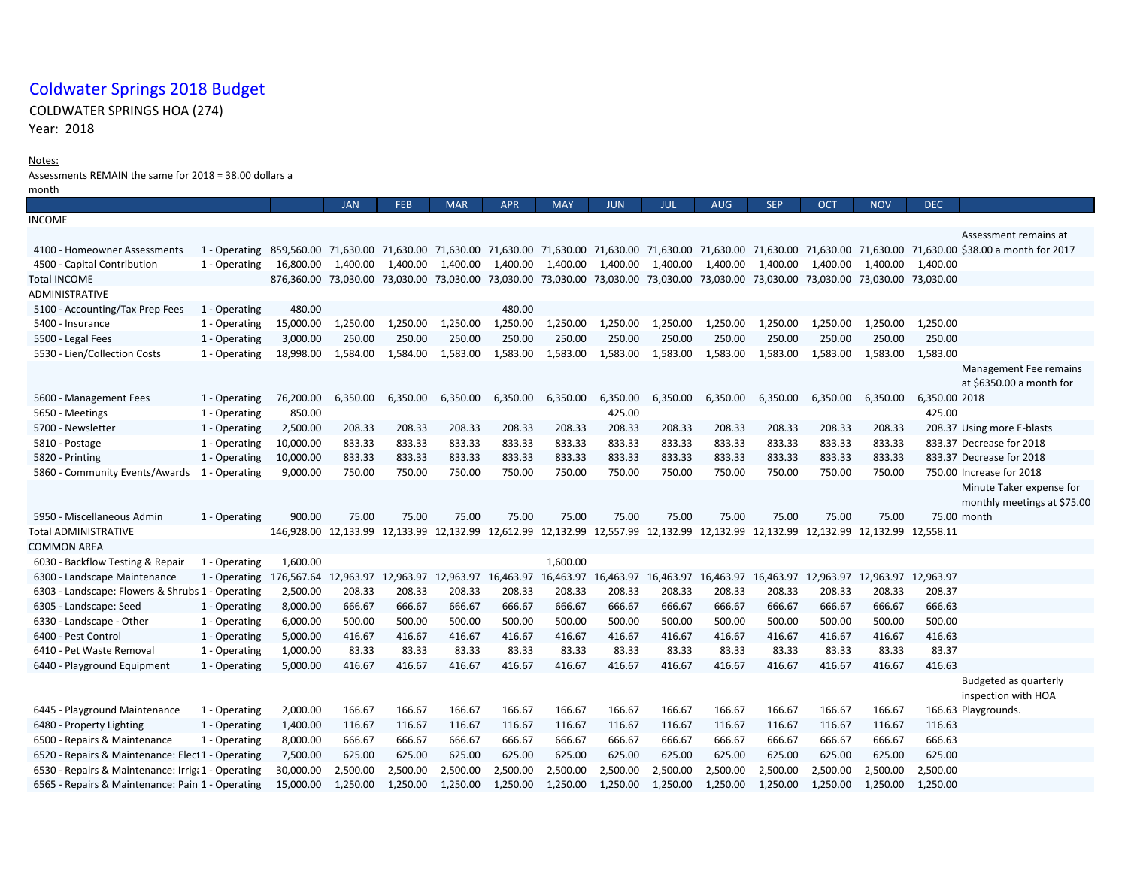## Coldwater Springs 2018 Budget

## COLDWATER SPRINGS HOA (274)

Year: 2018

## Notes:

Assessments REMAIN the same for 2018 = 38.00 dollars a

| month                                              |               |                                                                                                                                              |            |            |            |            |            |            |                                                   |                   |            |            |            |               |                                                                                                                                                             |
|----------------------------------------------------|---------------|----------------------------------------------------------------------------------------------------------------------------------------------|------------|------------|------------|------------|------------|------------|---------------------------------------------------|-------------------|------------|------------|------------|---------------|-------------------------------------------------------------------------------------------------------------------------------------------------------------|
|                                                    |               |                                                                                                                                              | <b>JAN</b> | <b>FEB</b> | <b>MAR</b> | <b>APR</b> | <b>MAY</b> | <b>JUN</b> | <b>JUL</b>                                        | <b>AUG</b>        | <b>SEP</b> | <b>OCT</b> | <b>NOV</b> | <b>DEC</b>    |                                                                                                                                                             |
| <b>INCOME</b>                                      |               |                                                                                                                                              |            |            |            |            |            |            |                                                   |                   |            |            |            |               |                                                                                                                                                             |
|                                                    |               |                                                                                                                                              |            |            |            |            |            |            |                                                   |                   |            |            |            |               | Assessment remains at                                                                                                                                       |
| 4100 - Homeowner Assessments                       | 1 - Operating |                                                                                                                                              |            |            |            |            |            |            |                                                   |                   |            |            |            |               | 859,560.00 71,630.00 71,630.00 71,630.00 71,630.00 71,630.00 71,630.00 71,630.00 71,630.00 71,630.00 71,630.00 71,630.00 71,630.00 \$38.00 a month for 2017 |
| 4500 - Capital Contribution                        | 1 - Operating | 16,800.00                                                                                                                                    | 1,400.00   | 1,400.00   | 1,400.00   | 1,400.00   | 1,400.00   | 1,400.00   |                                                   | 1,400.00 1,400.00 | 1,400.00   | 1,400.00   | 1,400.00   | 1,400.00      |                                                                                                                                                             |
| <b>Total INCOME</b>                                |               | 876,360.00 73,030.00 73,030.00 73,030.00 73,030.00 73,030.00 73,030.00 73,030.00 73,030.00 73,030.00 73,030.00 73,030.00 73,030.00 73,030.00 |            |            |            |            |            |            |                                                   |                   |            |            |            |               |                                                                                                                                                             |
| <b>ADMINISTRATIVE</b>                              |               |                                                                                                                                              |            |            |            |            |            |            |                                                   |                   |            |            |            |               |                                                                                                                                                             |
| 5100 - Accounting/Tax Prep Fees                    | 1 - Operating | 480.00                                                                                                                                       |            |            |            | 480.00     |            |            |                                                   |                   |            |            |            |               |                                                                                                                                                             |
| 5400 - Insurance                                   | 1 - Operating | 15,000.00                                                                                                                                    | 1,250.00   | 1,250.00   | 1,250.00   | 1,250.00   | 1,250.00   | 1,250.00   | 1,250.00                                          | 1,250.00          | 1,250.00   | 1,250.00   | 1,250.00   | 1,250.00      |                                                                                                                                                             |
| 5500 - Legal Fees                                  | 1 - Operating | 3,000.00                                                                                                                                     | 250.00     | 250.00     | 250.00     | 250.00     | 250.00     | 250.00     | 250.00                                            | 250.00            | 250.00     | 250.00     | 250.00     | 250.00        |                                                                                                                                                             |
| 5530 - Lien/Collection Costs                       | 1 - Operating | 18,998.00                                                                                                                                    | 1,584.00   | 1,584.00   | 1,583.00   | 1,583.00   | 1,583.00   | 1,583.00   | 1,583.00                                          | 1,583.00          | 1,583.00   | 1,583.00   | 1,583.00   | 1,583.00      |                                                                                                                                                             |
|                                                    |               |                                                                                                                                              |            |            |            |            |            |            |                                                   |                   |            |            |            |               | Management Fee remains                                                                                                                                      |
|                                                    |               |                                                                                                                                              |            |            |            |            |            |            |                                                   |                   |            |            |            |               | at \$6350.00 a month for                                                                                                                                    |
| 5600 - Management Fees                             | 1 - Operating | 76,200.00                                                                                                                                    | 6,350.00   | 6,350.00   | 6,350.00   | 6,350.00   | 6,350.00   | 6,350.00   | 6,350.00                                          | 6,350.00          | 6,350.00   | 6,350.00   | 6,350.00   | 6,350.00 2018 |                                                                                                                                                             |
| 5650 - Meetings                                    | 1 - Operating | 850.00                                                                                                                                       |            |            |            |            |            | 425.00     |                                                   |                   |            |            |            | 425.00        |                                                                                                                                                             |
| 5700 - Newsletter                                  | 1 - Operating | 2,500.00                                                                                                                                     | 208.33     | 208.33     | 208.33     | 208.33     | 208.33     | 208.33     | 208.33                                            | 208.33            | 208.33     | 208.33     | 208.33     |               | 208.37 Using more E-blasts                                                                                                                                  |
| 5810 - Postage                                     | 1 - Operating | 10,000.00                                                                                                                                    | 833.33     | 833.33     | 833.33     | 833.33     | 833.33     | 833.33     | 833.33                                            | 833.33            | 833.33     | 833.33     | 833.33     |               | 833.37 Decrease for 2018                                                                                                                                    |
| 5820 - Printing                                    | 1 - Operating | 10,000.00                                                                                                                                    | 833.33     | 833.33     | 833.33     | 833.33     | 833.33     | 833.33     | 833.33                                            | 833.33            | 833.33     | 833.33     | 833.33     |               | 833.37 Decrease for 2018                                                                                                                                    |
| 5860 - Community Events/Awards 1 - Operating       |               | 9,000.00                                                                                                                                     | 750.00     | 750.00     | 750.00     | 750.00     | 750.00     | 750.00     | 750.00                                            | 750.00            | 750.00     | 750.00     | 750.00     |               | 750.00 Increase for 2018                                                                                                                                    |
|                                                    |               |                                                                                                                                              |            |            |            |            |            |            |                                                   |                   |            |            |            |               | Minute Taker expense for                                                                                                                                    |
|                                                    |               |                                                                                                                                              |            |            |            |            |            |            |                                                   |                   |            |            |            |               | monthly meetings at \$75.00                                                                                                                                 |
| 5950 - Miscellaneous Admin                         | 1 - Operating | 900.00                                                                                                                                       | 75.00      | 75.00      | 75.00      | 75.00      | 75.00      | 75.00      | 75.00                                             | 75.00             | 75.00      | 75.00      | 75.00      |               | 75.00 month                                                                                                                                                 |
| Total ADMINISTRATIVE                               |               | 146,928.00 12,133.99 12,133.99 12,132.99 12,612.99 12,132.99 12,557.99 12,132.99 12,132.99 12,132.99 12,132.99 12,132.99 12,558.11           |            |            |            |            |            |            |                                                   |                   |            |            |            |               |                                                                                                                                                             |
| <b>COMMON AREA</b>                                 |               |                                                                                                                                              |            |            |            |            |            |            |                                                   |                   |            |            |            |               |                                                                                                                                                             |
| 6030 - Backflow Testing & Repair                   | 1 - Operating | 1,600.00                                                                                                                                     |            |            |            |            | 1,600.00   |            |                                                   |                   |            |            |            |               |                                                                                                                                                             |
| 6300 - Landscape Maintenance                       | 1 - Operating | 176,567.64 12,963.97 12,963.97                                                                                                               |            |            | 12,963.97  | 16,463.97  |            |            | 16,463.97 16,463.97 16,463.97 16,463.97 16,463.97 |                   |            | 12,963.97  | 12,963.97  | 12,963.97     |                                                                                                                                                             |
| 6303 - Landscape: Flowers & Shrubs 1 - Operating   |               | 2,500.00                                                                                                                                     | 208.33     | 208.33     | 208.33     | 208.33     | 208.33     | 208.33     | 208.33                                            | 208.33            | 208.33     | 208.33     | 208.33     | 208.37        |                                                                                                                                                             |
| 6305 - Landscape: Seed                             | 1 - Operating | 8,000.00                                                                                                                                     | 666.67     | 666.67     | 666.67     | 666.67     | 666.67     | 666.67     | 666.67                                            | 666.67            | 666.67     | 666.67     | 666.67     | 666.63        |                                                                                                                                                             |
| 6330 - Landscape - Other                           | 1 - Operating | 6,000.00                                                                                                                                     | 500.00     | 500.00     | 500.00     | 500.00     | 500.00     | 500.00     | 500.00                                            | 500.00            | 500.00     | 500.00     | 500.00     | 500.00        |                                                                                                                                                             |
| 6400 - Pest Control                                | 1 - Operating | 5,000.00                                                                                                                                     | 416.67     | 416.67     | 416.67     | 416.67     | 416.67     | 416.67     | 416.67                                            | 416.67            | 416.67     | 416.67     | 416.67     | 416.63        |                                                                                                                                                             |
| 6410 - Pet Waste Removal                           | 1 - Operating | 1,000.00                                                                                                                                     | 83.33      | 83.33      | 83.33      | 83.33      | 83.33      | 83.33      | 83.33                                             | 83.33             | 83.33      | 83.33      | 83.33      | 83.37         |                                                                                                                                                             |
| 6440 - Playground Equipment                        | 1 - Operating | 5,000.00                                                                                                                                     | 416.67     | 416.67     | 416.67     | 416.67     | 416.67     | 416.67     | 416.67                                            | 416.67            | 416.67     | 416.67     | 416.67     | 416.63        |                                                                                                                                                             |
|                                                    |               |                                                                                                                                              |            |            |            |            |            |            |                                                   |                   |            |            |            |               | Budgeted as quarterly                                                                                                                                       |
|                                                    |               |                                                                                                                                              |            |            |            |            |            |            |                                                   |                   |            |            |            |               | inspection with HOA                                                                                                                                         |
| 6445 - Playground Maintenance                      | 1 - Operating | 2,000.00                                                                                                                                     | 166.67     | 166.67     | 166.67     | 166.67     | 166.67     | 166.67     | 166.67                                            | 166.67            | 166.67     | 166.67     | 166.67     |               | 166.63 Playgrounds.                                                                                                                                         |
| 6480 - Property Lighting                           | 1 - Operating | 1,400.00                                                                                                                                     | 116.67     | 116.67     | 116.67     | 116.67     | 116.67     | 116.67     | 116.67                                            | 116.67            | 116.67     | 116.67     | 116.67     | 116.63        |                                                                                                                                                             |
| 6500 - Repairs & Maintenance                       | 1 - Operating | 8,000.00                                                                                                                                     | 666.67     | 666.67     | 666.67     | 666.67     | 666.67     | 666.67     | 666.67                                            | 666.67            | 666.67     | 666.67     | 666.67     | 666.63        |                                                                                                                                                             |
| 6520 - Repairs & Maintenance: Elect 1 - Operating  |               | 7,500.00                                                                                                                                     | 625.00     | 625.00     | 625.00     | 625.00     | 625.00     | 625.00     | 625.00                                            | 625.00            | 625.00     | 625.00     | 625.00     | 625.00        |                                                                                                                                                             |
| 6530 - Repairs & Maintenance: Irriga 1 - Operating |               | 30,000.00                                                                                                                                    | 2,500.00   | 2,500.00   | 2,500.00   | 2,500.00   | 2,500.00   | 2,500.00   | 2,500.00                                          | 2,500.00          | 2,500.00   | 2,500.00   | 2,500.00   | 2,500.00      |                                                                                                                                                             |
| 6565 - Repairs & Maintenance: Pain 1 - Operating   |               | 15,000.00                                                                                                                                    | 1,250.00   | 1,250.00   | 1,250.00   | 1,250.00   | 1,250.00   | 1,250.00   | 1,250.00                                          | 1,250.00          | 1,250.00   | 1,250.00   | 1,250.00   | 1,250.00      |                                                                                                                                                             |